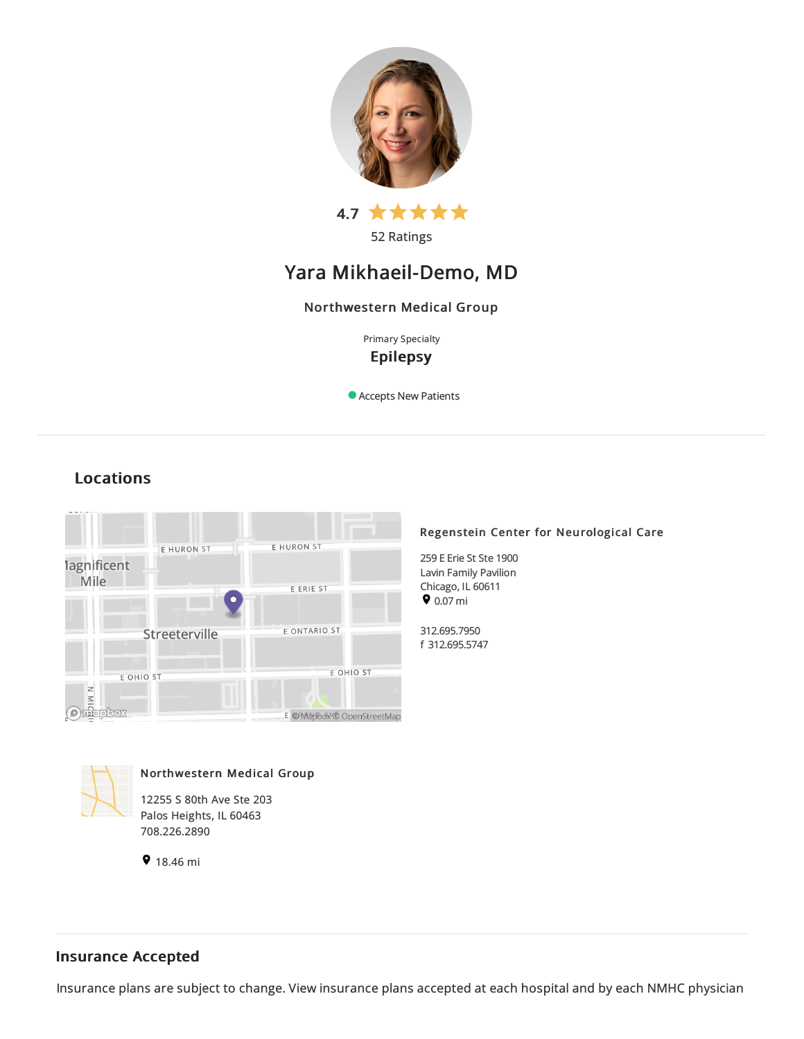

52 Ratings

# Yara Mikhaeil-Demo, MD

## Northwestern Medical Group

Primary Specialty Epilepsy

Accepts New Patients



### Regenstein Center for Neurological Care

259 E Erie St Ste 1900 Lavin Family Pavilion Chicago, IL 60611  $9.07 \text{ mi}$ 

312.695.7950 f 312.695.5747



Locations

Northwestern Medical Group

12255 S 80th Ave Ste 203 Palos Heights, IL 60463 708.226.2890

9 18.46 mi

## Insurance Accepted

Insurance plans are subject to change. View [insurance](https://www.nm.org/patients-and-visitors/billing-and-insurance/insurance-information/accepted-insurance-plans) plans accepted at each hospital and by each NMHC physician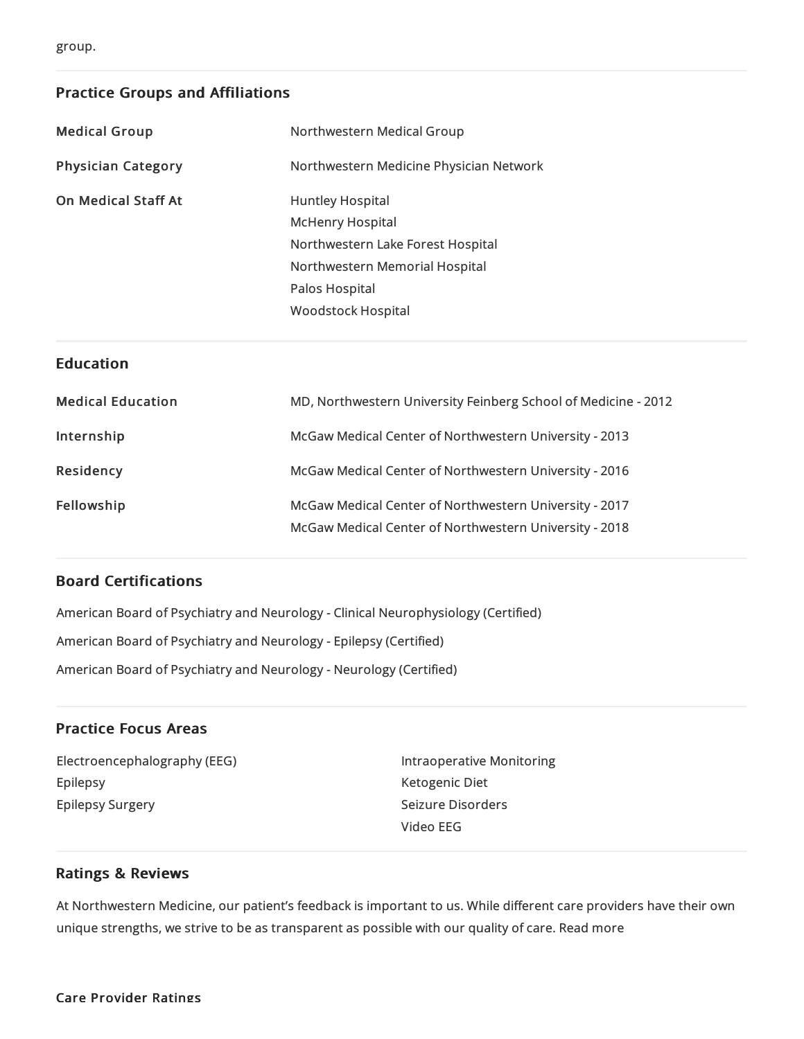## Practice Groups and Affiliations

| <b>Medical Group</b>       | Northwestern Medical Group              |
|----------------------------|-----------------------------------------|
| <b>Physician Category</b>  | Northwestern Medicine Physician Network |
| <b>On Medical Staff At</b> | Huntley Hospital                        |
|                            | <b>McHenry Hospital</b>                 |
|                            | Northwestern Lake Forest Hospital       |
|                            | Northwestern Memorial Hospital          |
|                            | Palos Hospital                          |
|                            | Woodstock Hospital                      |
|                            |                                         |

### **Education**

| <b>Medical Education</b> | MD, Northwestern University Feinberg School of Medicine - 2012                                                   |
|--------------------------|------------------------------------------------------------------------------------------------------------------|
| Internship               | McGaw Medical Center of Northwestern University - 2013                                                           |
| Residency                | McGaw Medical Center of Northwestern University - 2016                                                           |
| Fellowship               | McGaw Medical Center of Northwestern University - 2017<br>McGaw Medical Center of Northwestern University - 2018 |

## Board Certifications

American Board of Psychiatry and Neurology - Clinical Neurophysiology (Certified) American Board of Psychiatryand Neurology -Epilepsy (Certified) American Board of Psychiatryand Neurology - Neurology (Certified)

## Practice Focus Areas

Electroencephalography (EEG) Epilepsy Epilepsy Surgery

Intraoperative Monitoring Ketogenic Diet Seizure Disorders Video EEG

## Ratings & Reviews

At Northwestern Medicine, our patient's feedback is important to us. While different care providers have their own unique strengths, we strive to be as transparent as possible with our quality of care. Read more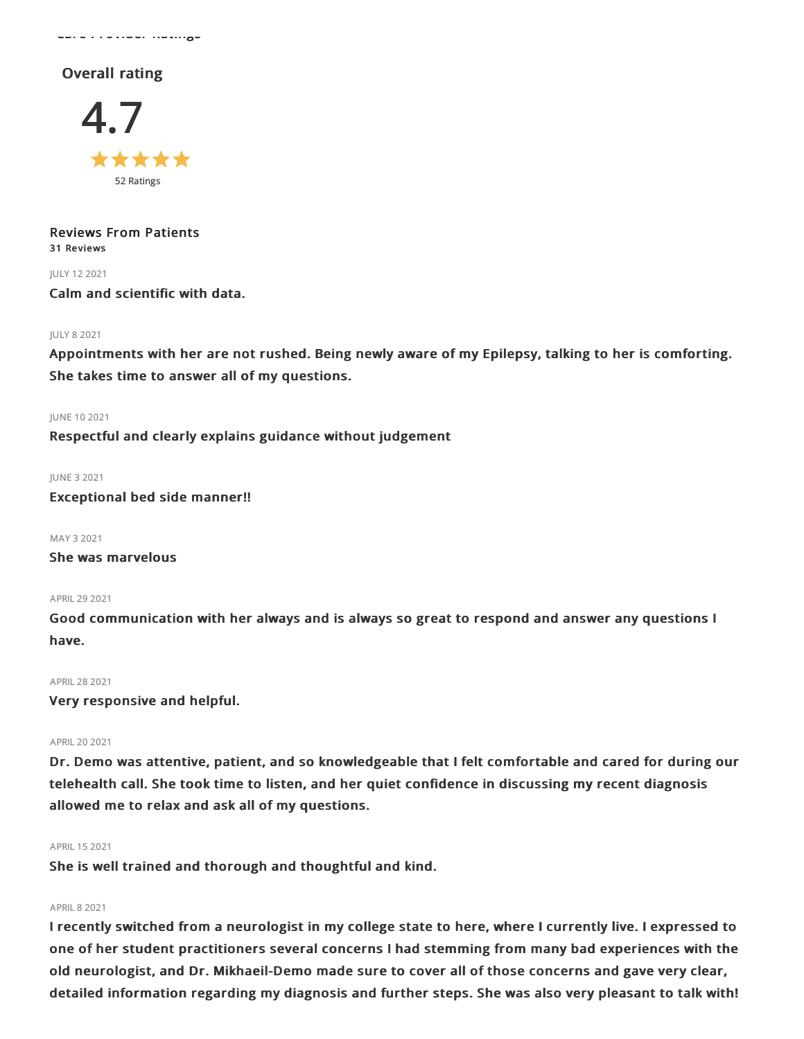Care Provider Ratings

## Overall rating



Reviews From Patients 31 Reviews

JULY 122021

Calm and scientific with data.

#### JULY 82021

Appointments with her are not rushed. Being newly aware of my Epilepsy, talking to her is comforting. She takes time to answer all of my questions.

#### JUNE 102021

Respectful and clearly explains guidance without judgement

JUNE 32021 Exceptional bed side manner!!

MAY 32021 She was marvelous

APRIL292021

Good communication with her always and is always so great to respond and answer any questions I have.

APRIL282021

Very responsive and helpful.

#### APRIL202021

Dr. Demo was attentive, patient, and so knowledgeable that I felt comfortable and cared for during our telehealth call. She took time to listen, and her quiet confidence in discussing my recent diagnosis allowed me to relax and ask all of my questions.

#### APRIL152021

She is well trained and thorough and thoughtful and kind.

#### **APRIL 8 2021**

I recently switched from a neurologist in my college state to here, where I currently live. I expressed to one of her student practitioners several concerns I had stemming from many bad experiences with the old neurologist, and Dr. Mikhaeil-Demo made sure to cover all of those concerns and gave very clear, detailed information regarding my diagnosis and further steps. She was also very pleasant to talk with!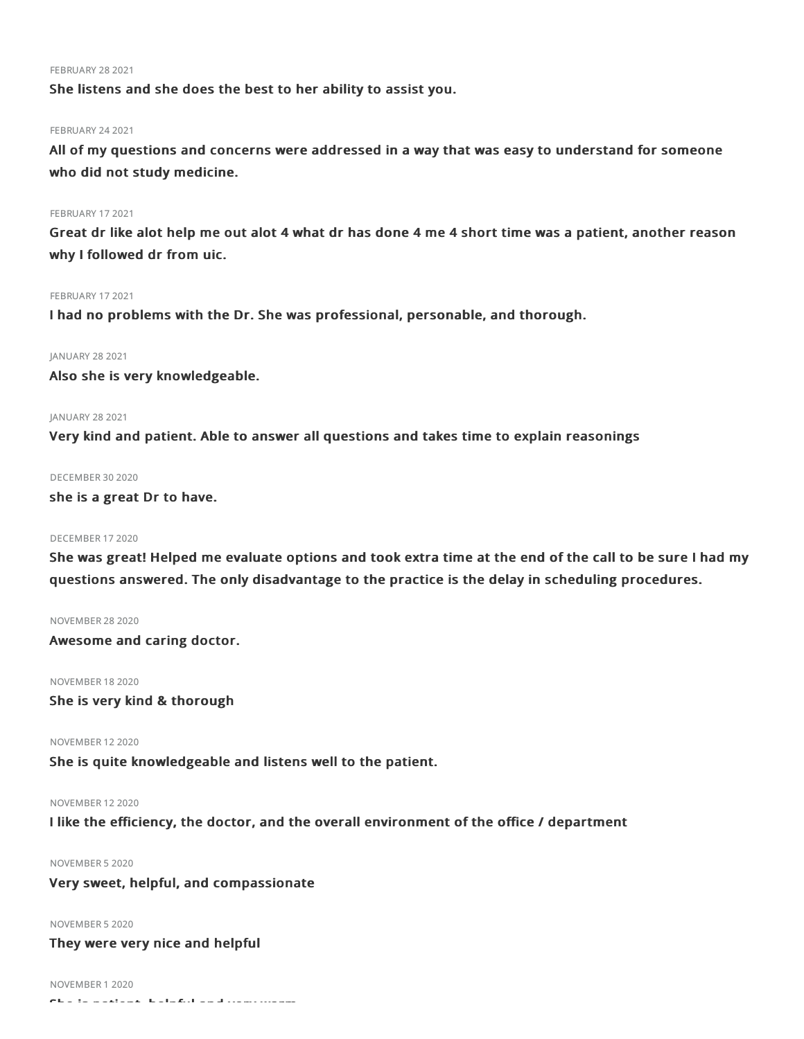#### **FEBRUARY 28 2021**

She listens and she does the best to her ability to assist you.

### FEBRUARY 24 2021

All of my questions and concerns were addressed in a way that was easy to understand for someone who did not study medicine.

#### FEBRUARY 17 2021

Great dr like alot help me out alot 4 what dr has done 4 me 4 short time was a patient, another reason why I followed dr from uic.

#### FEBRUARY 17 2021

I had no problems with the Dr. She was professional, personable, and thorough.

#### JANUARY 28 2021

Also she is very knowledgeable.

#### JANUARY 28 2021

Very kind and patient. Able to answer all questions and takes time to explain reasonings

#### DECEMBER 30 2020

she is a great Dr to have.

#### DECEMBER 172020

She was great! Helped me evaluate options and took extra time at the end of the call to be sure I had my questions answered. The only disadvantage to the practice is the delay in scheduling procedures.

#### NOVEMBER 282020

Awesome and caring doctor.

#### NOVEMBER 182020

She is very kind & thorough

NOVEMBER 122020

She is quite knowledgeable and listens well to the patient.

#### NOVEMBER 122020

I like the efficiency, the doctor, and the overall environment of the office / department

#### NOVEMBER 52020

#### Very sweet, helpful, and compassionate

#### NOVEMBER 52020

#### They were very nice and helpful

NOVEMBER 12020 She is patient, helpful and very warm.